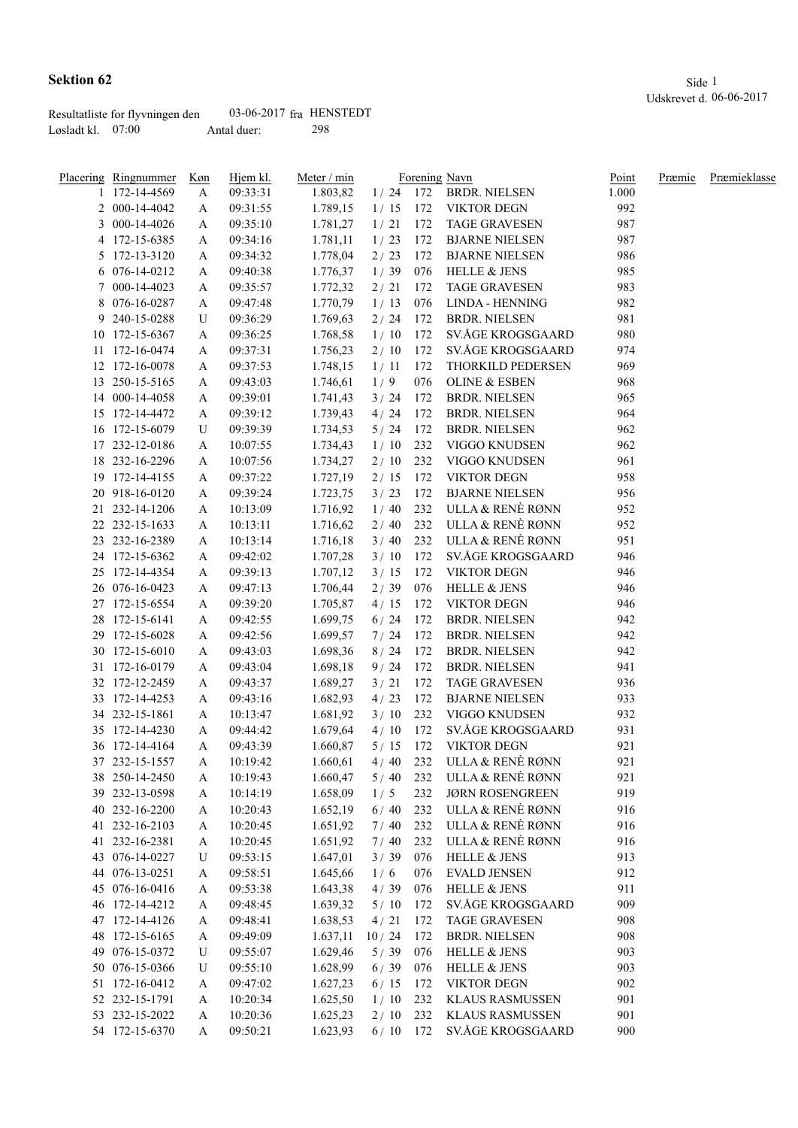|                     | Resultatliste for flyvningen den | $03-06-2017$ fra HENSTEDT |     |
|---------------------|----------------------------------|---------------------------|-----|
| Løsladt kl. $07:00$ |                                  | Antal duer:               | 298 |

| Placering Ringnummer | Køn | Hjem kl. | Meter / min |            |     | Forening Navn            | Point | Præmie | Præmieklasse |
|----------------------|-----|----------|-------------|------------|-----|--------------------------|-------|--------|--------------|
| 1 172-14-4569        | A   | 09:33:31 | 1.803,82    |            |     | 1/24 172 BRDR. NIELSEN   | 1.000 |        |              |
| 2 000-14-4042        | A   | 09:31:55 | 1.789,15    |            |     | 1/15 172 VIKTOR DEGN     | 992   |        |              |
| 3 000-14-4026        | A   | 09:35:10 | 1.781,27    | 1/21       | 172 | <b>TAGE GRAVESEN</b>     | 987   |        |              |
| 4 172-15-6385        | A   | 09:34:16 | 1.781,11    | 1/23       | 172 | <b>BJARNE NIELSEN</b>    | 987   |        |              |
| 5 172-13-3120        | A   | 09:34:32 | 1.778,04    | 2/23       | 172 | <b>BJARNE NIELSEN</b>    | 986   |        |              |
| 6 076-14-0212        | A   | 09:40:38 | 1.776,37    | 1/39       | 076 | <b>HELLE &amp; JENS</b>  | 985   |        |              |
| 7 000-14-4023        | A   | 09:35:57 | 1.772,32    | 2/21       | 172 | <b>TAGE GRAVESEN</b>     | 983   |        |              |
| 8 076-16-0287        | A   | 09:47:48 | 1.770,79    | 1/13       | 076 | LINDA - HENNING          | 982   |        |              |
| 9 240-15-0288        | U   | 09:36:29 | 1.769,63    | 2/24       | 172 | <b>BRDR. NIELSEN</b>     | 981   |        |              |
| 10 172-15-6367       | A   | 09:36:25 | 1.768,58    | 1/10       | 172 | SV.ÅGE KROGSGAARD        | 980   |        |              |
| 11 172-16-0474       | A   | 09:37:31 | 1.756,23    | 2/10       | 172 | SV.ÅGE KROGSGAARD        | 974   |        |              |
| 12 172-16-0078       | A   | 09:37:53 | 1.748,15    | 1/11       | 172 | THORKILD PEDERSEN        | 969   |        |              |
| 13 250-15-5165       | A   | 09:43:03 | 1.746,61    | 1/9        | 076 | <b>OLINE &amp; ESBEN</b> | 968   |        |              |
| 14 000-14-4058       | A   | 09:39:01 | 1.741,43    | 3/24       | 172 | <b>BRDR. NIELSEN</b>     | 965   |        |              |
| 15 172-14-4472       | A   | 09:39:12 | 1.739,43    | 4 / 24     | 172 | <b>BRDR. NIELSEN</b>     | 964   |        |              |
| 16 172-15-6079       | U   | 09:39:39 | 1.734,53    | $5/24$     | 172 | <b>BRDR. NIELSEN</b>     | 962   |        |              |
| 17 232-12-0186       | A   | 10:07:55 | 1.734,43    | 1/10       | 232 | VIGGO KNUDSEN            | 962   |        |              |
| 18 232-16-2296       | A   | 10:07:56 | 1.734,27    | 2/10       | 232 | VIGGO KNUDSEN            | 961   |        |              |
| 19 172-14-4155       | A   | 09:37:22 | 1.727,19    | 2/15       | 172 | <b>VIKTOR DEGN</b>       | 958   |        |              |
| 20 918-16-0120       | A   | 09:39:24 | 1.723,75    | 3/23       | 172 | <b>BJARNE NIELSEN</b>    | 956   |        |              |
| 21 232-14-1206       | A   | 10:13:09 | 1.716,92    | 1/40       |     | 232 ULLA & RENÈ RØNN     | 952   |        |              |
| 22 232-15-1633       | A   | 10:13:11 | 1.716,62    | 2/40       |     | 232 ULLA & RENÈ RØNN     | 952   |        |              |
| 23 232-16-2389       |     |          |             | 3/40       | 232 | ULLA & RENÈ RØNN         | 951   |        |              |
| 24 172-15-6362       | A   | 10:13:14 | 1.716,18    | 3/10       | 172 | SV.ÅGE KROGSGAARD        | 946   |        |              |
|                      | A   | 09:42:02 | 1.707,28    |            |     |                          |       |        |              |
| 25 172-14-4354       | A   | 09:39:13 | 1.707,12    | 3/15       | 172 | <b>VIKTOR DEGN</b>       | 946   |        |              |
| 26 076-16-0423       | A   | 09:47:13 | 1.706,44    | 2/39       | 076 | <b>HELLE &amp; JENS</b>  | 946   |        |              |
| 27 172-15-6554       | A   | 09:39:20 | 1.705,87    | 4/15       | 172 | <b>VIKTOR DEGN</b>       | 946   |        |              |
| 28 172-15-6141       | A   | 09:42:55 | 1.699,75    | 6/24       | 172 | BRDR. NIELSEN            | 942   |        |              |
| 29 172-15-6028       | A   | 09:42:56 | 1.699,57    | 7/24       | 172 | <b>BRDR. NIELSEN</b>     | 942   |        |              |
| 30 172-15-6010       | A   | 09:43:03 | 1.698,36    | 8/24       | 172 | <b>BRDR. NIELSEN</b>     | 942   |        |              |
| 31 172-16-0179       | A   | 09:43:04 | 1.698,18    | 9/24       | 172 | <b>BRDR. NIELSEN</b>     | 941   |        |              |
| 32 172-12-2459       | A   | 09:43:37 | 1.689,27    | 3/21       | 172 | <b>TAGE GRAVESEN</b>     | 936   |        |              |
| 33 172-14-4253       | А   | 09:43:16 | 1.682,93    | 4/23       | 172 | <b>BJARNE NIELSEN</b>    | 933   |        |              |
| 34 232-15-1861       | A   | 10:13:47 | 1.681,92    | 3/10       | 232 | VIGGO KNUDSEN            | 932   |        |              |
| 35 172-14-4230       | A   | 09:44:42 | 1.679,64    | 4/10       | 172 | SV.ÅGE KROGSGAARD        | 931   |        |              |
| 36 172-14-4164       | A   | 09:43:39 | 1.660,87    | 5/15       | 172 | <b>VIKTOR DEGN</b>       | 921   |        |              |
| 37 232-15-1557       | Α   | 10:19:42 | 1.660,61    | 4/40       | 232 | ULLA & RENÈ RØNN         | 921   |        |              |
| 38 250-14-2450       | A   | 10:19:43 | 1.660,47    | 5/40       | 232 | ULLA & RENÈ RØNN         | 921   |        |              |
| 39 232-13-0598       | A   | 10:14:19 | 1.658,09    | 1/5        | 232 | <b>JØRN ROSENGREEN</b>   | 919   |        |              |
| 40 232-16-2200       | A   | 10:20:43 | 1.652,19    | 6/40       | 232 | ULLA & RENÈ RØNN         | 916   |        |              |
| 41 232-16-2103       | A   | 10:20:45 | 1.651,92    | 7/40       | 232 | ULLA & RENÈ RØNN         | 916   |        |              |
| 41 232-16-2381       | A   | 10:20:45 | 1.651,92    | 7/40       | 232 | ULLA & RENÈ RØNN         | 916   |        |              |
| 43 076-14-0227       | U   | 09:53:15 | 1.647,01    | 3/39       | 076 | HELLE & JENS             | 913   |        |              |
| 44 076-13-0251       | A   | 09:58:51 | 1.645,66    | 1/6        | 076 | <b>EVALD JENSEN</b>      | 912   |        |              |
| 45 076-16-0416       | A   | 09:53:38 | 1.643,38    | 4/39       | 076 | HELLE & JENS             | 911   |        |              |
| 46 172-14-4212       | A   | 09:48:45 | 1.639,32    | 5/10       | 172 | SV.ÅGE KROGSGAARD        | 909   |        |              |
| 47 172-14-4126       | A   | 09:48:41 | 1.638,53    | 4/21       | 172 | <b>TAGE GRAVESEN</b>     | 908   |        |              |
| 48 172-15-6165       | A   | 09:49:09 | 1.637,11    | 10/24      | 172 | <b>BRDR. NIELSEN</b>     | 908   |        |              |
| 49 076-15-0372       | U   | 09:55:07 | 1.629,46    | $5/39$     | 076 | <b>HELLE &amp; JENS</b>  | 903   |        |              |
| 50 076-15-0366       | U   | 09:55:10 | 1.628,99    | 6/39       | 076 | <b>HELLE &amp; JENS</b>  | 903   |        |              |
| 51 172-16-0412       | A   | 09:47:02 | 1.627,23    | 6/15       | 172 | <b>VIKTOR DEGN</b>       | 902   |        |              |
| 52 232-15-1791       | A   | 10:20:34 | 1.625,50    | 1/10       | 232 | <b>KLAUS RASMUSSEN</b>   | 901   |        |              |
| 53 232-15-2022       | A   | 10:20:36 | 1.625,23    | 2/10       | 232 | <b>KLAUS RASMUSSEN</b>   | 901   |        |              |
| 54 172-15-6370       |     | 09:50:21 | 1.623,93    | $6/10$ 172 |     | SV.ÅGE KROGSGAARD        | 900   |        |              |
|                      | A   |          |             |            |     |                          |       |        |              |